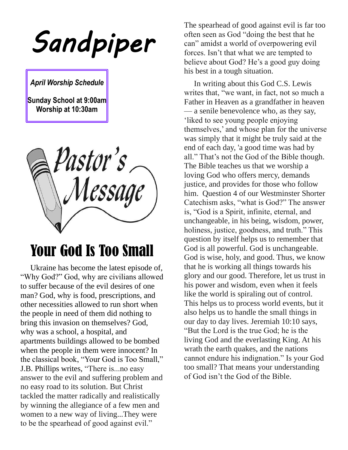*Sandpiper* 

*April Worship Schedule*

**Sunday School at 9:00am Worship at 10:30am**

pastor's<br>Message

## Your God Is Too Small

 Ukraine has become the latest episode of, "Why God?" God, why are civilians allowed to suffer because of the evil desires of one man? God, why is food, prescriptions, and other necessities allowed to run short when the people in need of them did nothing to bring this invasion on themselves? God, why was a school, a hospital, and apartments buildings allowed to be bombed when the people in them were innocent? In the classical book, "Your God is Too Small," J.B. Phillips writes, "There is...no easy answer to the evil and suffering problem and no easy road to its solution. But Christ tackled the matter radically and realistically by winning the allegiance of a few men and women to a new way of living...They were to be the spearhead of good against evil."

The spearhead of good against evil is far too often seen as God "doing the best that he can" amidst a world of overpowering evil forces. Isn't that what we are tempted to believe about God? He's a good guy doing his best in a tough situation.

 In writing about this God C.S. Lewis writes that, "we want, in fact, not so much a Father in Heaven as a grandfather in heaven — a senile benevolence who, as they say, 'liked to see young people enjoying themselves,' and whose plan for the universe was simply that it might be truly said at the end of each day, 'a good time was had by all." That's not the God of the Bible though. The Bible teaches us that we worship a loving God who offers mercy, demands justice, and provides for those who follow him. Question 4 of our Westminster Shorter Catechism asks, "what is God?" The answer is, "God is a Spirit, infinite, eternal, and unchangeable, in his being, wisdom, power, holiness, justice, goodness, and truth." This question by itself helps us to remember that God is all powerful. God is unchangeable. God is wise, holy, and good. Thus, we know that he is working all things towards his glory and our good. Therefore, let us trust in his power and wisdom, even when it feels like the world is spiraling out of control. This helps us to process world events, but it also helps us to handle the small things in our day to day lives. Jeremiah 10:10 says, "But the Lord is the true God; he is the living God and the everlasting King. At his wrath the earth quakes, and the nations cannot endure his indignation." Is your God too small? That means your understanding of God isn't the God of the Bible.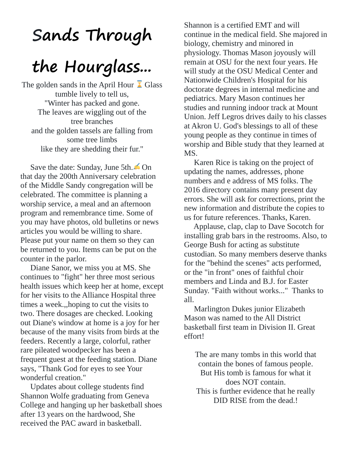## **Sands Through**

# **the Hourglass...**

The golden sands in the April Hour  $\overline{\mathbf{\lambda}}$  Glass tumble lively to tell us, "Winter has packed and gone. The leaves are wiggling out of the tree branches and the golden tassels are falling from some tree limbs like they are shedding their fur."

Save the date: Sunday, June 5th.  $\bigcirc$  On that day the 200th Anniversary celebration of the Middle Sandy congregation will be celebrated. The committee is planning a worship service, a meal and an afternoon program and remembrance time. Some of you may have photos, old bulletins or news articles you would be willing to share. Please put your name on them so they can be returned to you. Items can be put on the counter in the parlor.

 Diane Sanor, we miss you at MS. She continues to "fight" her three most serious health issues which keep her at home, except for her visits to the Alliance Hospital three times a week.,,hoping to cut the visits to two. There dosages are checked. Looking out Diane's window at home is a joy for her because of the many visits from birds at the feeders. Recently a large, colorful, rather rare pileated woodpecker has been a frequent guest at the feeding station. Diane says, "Thank God for eyes to see Your wonderful creation."

 Updates about college students find Shannon Wolfe graduating from Geneva College and hanging up her basketball shoes after 13 years on the hardwood, She received the PAC award in basketball.

Shannon is a certified EMT and will continue in the medical field. She majored in biology, chemistry and minored in physiology. Thomas Mason joyously will remain at OSU for the next four years. He will study at the OSU Medical Center and Nationwide Children's Hospital for his doctorate degrees in internal medicine and pediatrics. Mary Mason continues her studies and running indoor track at Mount Union. Jeff Legros drives daily to his classes at Akron U. God's blessings to all of these young people as they continue in times of worship and Bible study that they learned at MS.

 Karen Rice is taking on the project of updating the names, addresses, phone numbers and e address of MS folks. The 2016 directory contains many present day errors. She will ask for corrections, print the new information and distribute the copies to us for future references. Thanks, Karen.

 Applause, clap, clap to Dave Socotch for installing grab bars in the restrooms. Also, to George Bush for acting as substitute custodian. So many members deserve thanks for the "behind the scenes" acts performed, or the "in front" ones of faithful choir members and Linda and B.J. for Easter Sunday. "Faith without works..." Thanks to all.

 Marlington Dukes junior Elizabeth Mason was named to the All District basketball first team in Division II. Great effort!

The are many tombs in this world that contain the bones of famous people. But His tomb is famous for what it does NOT contain. This is further evidence that he really DID RISE from the dead.!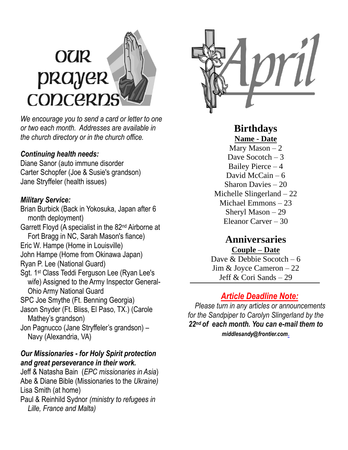# **OUR** prayer CODCERD

*We encourage you to send a card or letter to one or two each month. Addresses are available in the church directory or in the church office.*

#### *Continuing health needs:*

Diane Sanor (auto immune disorder Carter Schopfer (Joe & Susie's grandson) Jane Stryffeler (health issues)

#### *Military Service:*

Brian Burbick (Back in Yokosuka, Japan after 6 month deployment) Garrett Floyd (A specialist in the 82nd Airborne at Fort Bragg in NC, Sarah Mason's fiance) Eric W. Hampe (Home in Louisville) John Hampe (Home from Okinawa Japan) Ryan P. Lee (National Guard) Sgt. 1st Class Teddi Ferguson Lee (Ryan Lee's wife) Assigned to the Army Inspector General- Ohio Army National Guard SPC Joe Smythe (Ft. Benning Georgia) Jason Snyder (Ft. Bliss, El Paso, TX.) (Carole Mathey's grandson) Jon Pagnucco (Jane Stryffeler's grandson) – Navy (Alexandria, VA)

#### *Our Missionaries - for Holy Spirit protection and great perseverance in their work.*

Jeff & Natasha Bain (*EPC missionaries in Asia*) Abe & Diane Bible (Missionaries to the *Ukraine)* Lisa Smith (at home) Paul & Reinhild Sydnor *(ministry to refugees in Lille, France and Malta)*



**Birthdays Name - Date** Mary Mason  $-2$ 

Dave Socotch  $-3$ Bailey Pierce – 4 David McCain  $-6$ Sharon Davies – 20 Michelle Slingerland – 22 Michael Emmons – 23 Sheryl Mason – 29 Eleanor Carver – 30

### **Anniversaries**

**Couple – Date** Dave & Debbie Socotch – 6 Jim & Joyce Cameron – 22 Jeff & Cori Sands – 29

#### *Article Deadline Note:*

 *Please turn in any articles or announcements for the Sandpiper to Carolyn Slingerland by the 22nd of each month. You can e-mail them to [middlesandy@frontier.com](mailto:middlesandy@frontier.com).*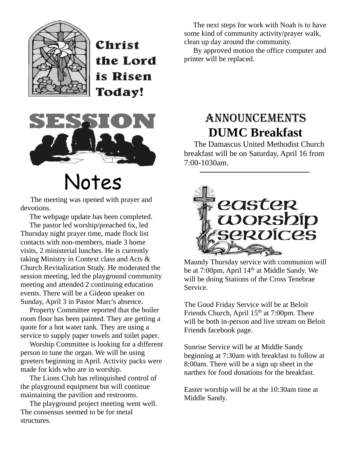

Christ the Lord is Risen Today!



# Notes

 The meeting was opened with prayer and devotions.

The webpage update has been completed.

 The pastor led worship/preached 6x, led Thursday night prayer time, made flock list contacts with non-members, made 3 home visits, 2 ministerial lunches. He is currently taking Ministry in Context class and Acts & Church Revitalization Study. He moderated the session meeting, led the playground community meeting and attended 2 continuing education events. There will be a Gideon speaker on Sunday, April 3 in Pastor Marc's absence.

 Property Committee reported that the boiler room floor has been painted. They are getting a quote for a hot water tank. They are using a service to supply paper towels and toilet paper.

 Worship Committee is looking for a different person to tune the organ. We will be using greeters beginning in April. Activity packs were made for kids who are in worship.

 The Lions Club has relinquished control of the playground equipment but will continue maintaining the pavilion and restrooms.

 The playground project meeting went well. The consensus seemed to be for metal structures.

 The next steps for work with Noah is to have some kind of community activity/prayer walk, clean up day around the community.

 By approved motion the office computer and printer will be replaced.

## Announcements **DUMC Breakfast**

 The Damascus United Methodist Church breakfast will be on Saturday, April 16 from 7:00-1030am.



Maundy Thursday service with communion will be at 7:00pm, April 14<sup>th</sup> at Middle Sandy. We will be doing Stations of the Cross Tenebrae Service.

The Good Friday Service will be at Beloit Friends Church, April  $15<sup>th</sup>$  at 7:00pm. There will be both in-person and live stream on Beloit Friends facebook page.

Sunrise Service will be at Middle Sandy beginning at 7:30am with breakfast to follow at 8:00am. There will be a sign up sheet in the narthex for food donations for the breakfast.

Easter worship will be at the 10:30am time at Middle Sandy.